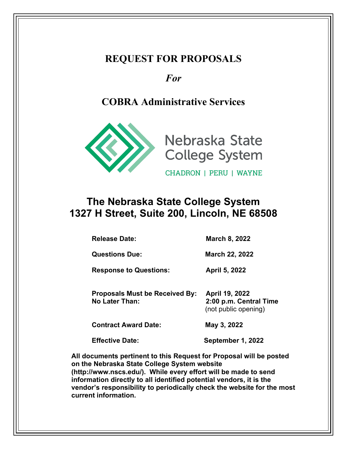### **REQUEST FOR PROPOSALS**

### *For*

# **COBRA Administrative Services**





CHADRON | PERU | WAYNE

# **The Nebraska State College System 1327 H Street, Suite 200, Lincoln, NE 68508**

**Release Date: March 8, 2022**

**Questions Due:** March 22, 2022

**Response to Questions: April 5, 2022**

**Proposals Must be Received By: April 19, 2022 No Later Than: 2:00 p.m. Central Time** (not public opening)

**Contract Award Date: May 3, 2022**

**Effective Date: September 1, 2022**

**All documents pertinent to this Request for Proposal will be posted on the Nebraska State College System website (http://www.nscs.edu/). While every effort will be made to send information directly to all identified potential vendors, it is the vendor's responsibility to periodically check the website for the most current information.**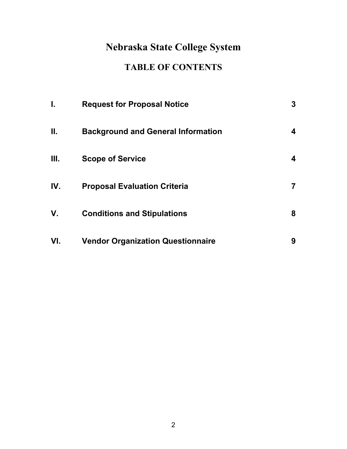# **Nebraska State College System**

# **TABLE OF CONTENTS**

| L.   | <b>Request for Proposal Notice</b>        | 3 |
|------|-------------------------------------------|---|
| Ш.   | <b>Background and General Information</b> | 4 |
| III. | <b>Scope of Service</b>                   | 4 |
| IV.  | <b>Proposal Evaluation Criteria</b>       | 7 |
| V.   | <b>Conditions and Stipulations</b>        | 8 |
| VI.  | <b>Vendor Organization Questionnaire</b>  | 9 |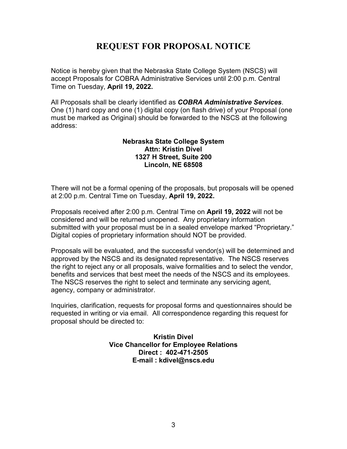### **REQUEST FOR PROPOSAL NOTICE**

Notice is hereby given that the Nebraska State College System (NSCS) will accept Proposals for COBRA Administrative Services until 2:00 p.m. Central Time on Tuesday, **April 19, 2022.**

All Proposals shall be clearly identified as *COBRA Administrative Services*. One (1) hard copy and one (1) digital copy (on flash drive) of your Proposal (one must be marked as Original) should be forwarded to the NSCS at the following address:

#### **Nebraska State College System Attn: Kristin Divel 1327 H Street, Suite 200 Lincoln, NE 68508**

There will not be a formal opening of the proposals, but proposals will be opened at 2:00 p.m. Central Time on Tuesday, **April 19, 2022.**

Proposals received after 2:00 p.m. Central Time on **April 19, 2022** will not be considered and will be returned unopened. Any proprietary information submitted with your proposal must be in a sealed envelope marked "Proprietary." Digital copies of proprietary information should NOT be provided.

Proposals will be evaluated, and the successful vendor(s) will be determined and approved by the NSCS and its designated representative.The NSCS reserves the right to reject any or all proposals, waive formalities and to select the vendor, benefits and services that best meet the needs of the NSCS and its employees. The NSCS reserves the right to select and terminate any servicing agent, agency, company or administrator.

Inquiries, clarification, requests for proposal forms and questionnaires should be requested in writing or via email. All correspondence regarding this request for proposal should be directed to:

> **Kristin Divel Vice Chancellor for Employee Relations Direct : 402-471-2505 E-mail : kdivel@nscs.edu**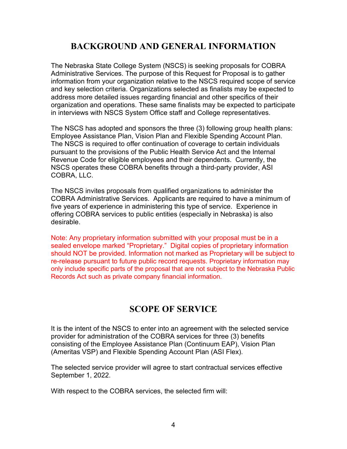### **BACKGROUND AND GENERAL INFORMATION**

The Nebraska State College System (NSCS) is seeking proposals for COBRA Administrative Services. The purpose of this Request for Proposal is to gather information from your organization relative to the NSCS required scope of service and key selection criteria. Organizations selected as finalists may be expected to address more detailed issues regarding financial and other specifics of their organization and operations. These same finalists may be expected to participate in interviews with NSCS System Office staff and College representatives.

The NSCS has adopted and sponsors the three (3) following group health plans: Employee Assistance Plan, Vision Plan and Flexible Spending Account Plan. The NSCS is required to offer continuation of coverage to certain individuals pursuant to the provisions of the Public Health Service Act and the Internal Revenue Code for eligible employees and their dependents. Currently, the NSCS operates these COBRA benefits through a third-party provider, ASI COBRA, LLC.

The NSCS invites proposals from qualified organizations to administer the COBRA Administrative Services. Applicants are required to have a minimum of five years of experience in administering this type of service. Experience in offering COBRA services to public entities (especially in Nebraska) is also desirable.

Note: Any proprietary information submitted with your proposal must be in a sealed envelope marked "Proprietary." Digital copies of proprietary information should NOT be provided. Information not marked as Proprietary will be subject to re-release pursuant to future public record requests. Proprietary information may only include specific parts of the proposal that are not subject to the Nebraska Public Records Act such as private company financial information.

### **SCOPE OF SERVICE**

It is the intent of the NSCS to enter into an agreement with the selected service provider for administration of the COBRA services for three (3) benefits consisting of the Employee Assistance Plan (Continuum EAP), Vision Plan (Ameritas VSP) and Flexible Spending Account Plan (ASI Flex).

The selected service provider will agree to start contractual services effective September 1, 2022.

With respect to the COBRA services, the selected firm will: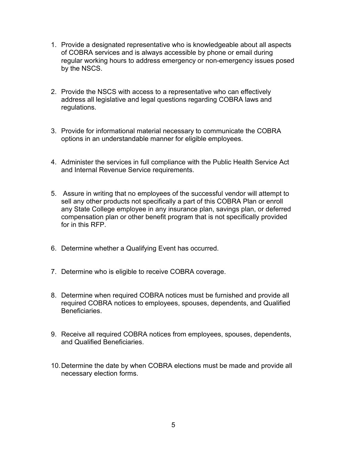- 1. Provide a designated representative who is knowledgeable about all aspects of COBRA services and is always accessible by phone or email during regular working hours to address emergency or non-emergency issues posed by the NSCS.
- 2. Provide the NSCS with access to a representative who can effectively address all legislative and legal questions regarding COBRA laws and regulations.
- 3. Provide for informational material necessary to communicate the COBRA options in an understandable manner for eligible employees.
- 4. Administer the services in full compliance with the Public Health Service Act and Internal Revenue Service requirements.
- 5. Assure in writing that no employees of the successful vendor will attempt to sell any other products not specifically a part of this COBRA Plan or enroll any State College employee in any insurance plan, savings plan, or deferred compensation plan or other benefit program that is not specifically provided for in this RFP.
- 6. Determine whether a Qualifying Event has occurred.
- 7. Determine who is eligible to receive COBRA coverage.
- 8. Determine when required COBRA notices must be furnished and provide all required COBRA notices to employees, spouses, dependents, and Qualified Beneficiaries.
- 9. Receive all required COBRA notices from employees, spouses, dependents, and Qualified Beneficiaries.
- 10.Determine the date by when COBRA elections must be made and provide all necessary election forms.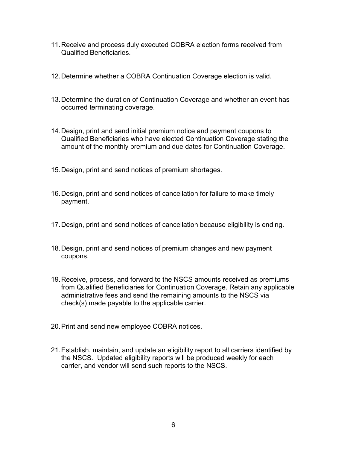- 11.Receive and process duly executed COBRA election forms received from Qualified Beneficiaries.
- 12.Determine whether a COBRA Continuation Coverage election is valid.
- 13.Determine the duration of Continuation Coverage and whether an event has occurred terminating coverage.
- 14.Design, print and send initial premium notice and payment coupons to Qualified Beneficiaries who have elected Continuation Coverage stating the amount of the monthly premium and due dates for Continuation Coverage.
- 15.Design, print and send notices of premium shortages.
- 16.Design, print and send notices of cancellation for failure to make timely payment.
- 17.Design, print and send notices of cancellation because eligibility is ending.
- 18.Design, print and send notices of premium changes and new payment coupons.
- 19.Receive, process, and forward to the NSCS amounts received as premiums from Qualified Beneficiaries for Continuation Coverage. Retain any applicable administrative fees and send the remaining amounts to the NSCS via check(s) made payable to the applicable carrier.
- 20.Print and send new employee COBRA notices.
- 21.Establish, maintain, and update an eligibility report to all carriers identified by the NSCS. Updated eligibility reports will be produced weekly for each carrier, and vendor will send such reports to the NSCS.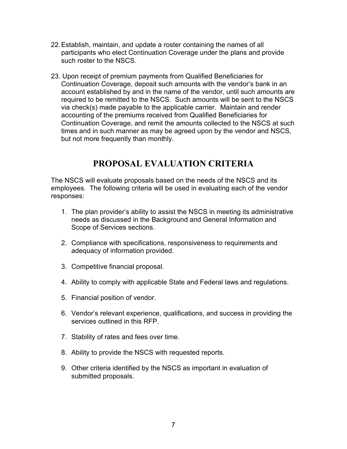- 22.Establish, maintain, and update a roster containing the names of all participants who elect Continuation Coverage under the plans and provide such roster to the NSCS.
- 23. Upon receipt of premium payments from Qualified Beneficiaries for Continuation Coverage, deposit such amounts with the vendor's bank in an account established by and in the name of the vendor, until such amounts are required to be remitted to the NSCS. Such amounts will be sent to the NSCS via check(s) made payable to the applicable carrier. Maintain and render accounting of the premiums received from Qualified Beneficiaries for Continuation Coverage, and remit the amounts collected to the NSCS at such times and in such manner as may be agreed upon by the vendor and NSCS, but not more frequently than monthly.

#### **PROPOSAL EVALUATION CRITERIA**

The NSCS will evaluate proposals based on the needs of the NSCS and its employees. The following criteria will be used in evaluating each of the vendor responses:

- 1. The plan provider's ability to assist the NSCS in meeting its administrative needs as discussed in the Background and General Information and Scope of Services sections.
- 2. Compliance with specifications, responsiveness to requirements and adequacy of information provided.
- 3. Competitive financial proposal.
- 4. Ability to comply with applicable State and Federal laws and regulations.
- 5. Financial position of vendor.
- 6. Vendor's relevant experience, qualifications, and success in providing the services outlined in this RFP.
- 7. Stability of rates and fees over time.
- 8. Ability to provide the NSCS with requested reports.
- 9. Other criteria identified by the NSCS as important in evaluation of submitted proposals.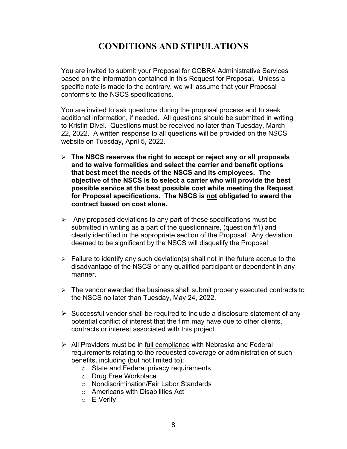### **CONDITIONS AND STIPULATIONS**

You are invited to submit your Proposal for COBRA Administrative Services based on the information contained in this Request for Proposal. Unless a specific note is made to the contrary, we will assume that your Proposal conforms to the NSCS specifications.

You are invited to ask questions during the proposal process and to seek additional information, if needed. All questions should be submitted in writing to Kristin Divel. Questions must be received no later than Tuesday, March 22, 2022. A written response to all questions will be provided on the NSCS website on Tuesday, April 5, 2022.

- **The NSCS reserves the right to accept or reject any or all proposals and to waive formalities and select the carrier and benefit options that best meet the needs of the NSCS and its employees. The objective of the NSCS is to select a carrier who will provide the best possible service at the best possible cost while meeting the Request for Proposal specifications. The NSCS is not obligated to award the contract based on cost alone.**
- $\triangleright$  Any proposed deviations to any part of these specifications must be submitted in writing as a part of the questionnaire, (question #1) and clearly identified in the appropriate section of the Proposal.Any deviation deemed to be significant by the NSCS will disqualify the Proposal.
- $\triangleright$  Failure to identify any such deviation(s) shall not in the future accrue to the disadvantage of the NSCS or any qualified participant or dependent in any manner.
- $\triangleright$  The vendor awarded the business shall submit properly executed contracts to the NSCS no later than Tuesday, May 24, 2022.
- $\triangleright$  Successful vendor shall be required to include a disclosure statement of any potential conflict of interest that the firm may have due to other clients, contracts or interest associated with this project.
- $\triangleright$  All Providers must be in full compliance with Nebraska and Federal requirements relating to the requested coverage or administration of such benefits, including (but not limited to):
	- o State and Federal privacy requirements
	- o Drug Free Workplace
	- o Nondiscrimination/Fair Labor Standards
	- o Americans with Disabilities Act
	- o E-Verify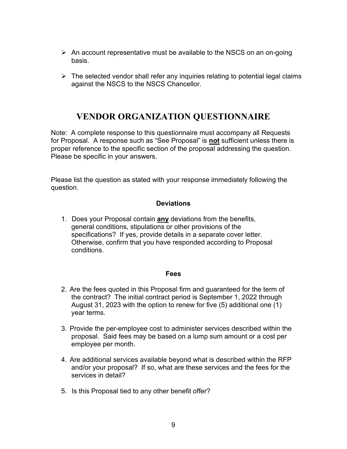- $\triangleright$  An account representative must be available to the NSCS on an on-going basis.
- $\triangleright$  The selected vendor shall refer any inquiries relating to potential legal claims against the NSCS to the NSCS Chancellor.

### **VENDOR ORGANIZATION QUESTIONNAIRE**

Note: A complete response to this questionnaire must accompany all Requests for Proposal. A response such as "See Proposal" is **not** sufficient unless there is proper reference to the specific section of the proposal addressing the question. Please be specific in your answers.

Please list the question as stated with your response immediately following the question.

#### **Deviations**

1. Does your Proposal contain **any** deviations from the benefits, general conditions, stipulations or other provisions of the specifications? If yes, provide details in a separate cover letter. Otherwise, confirm that you have responded according to Proposal conditions.

#### **Fees**

- 2. Are the fees quoted in this Proposal firm and guaranteed for the term of the contract? The initial contract period is September 1, 2022 through August 31, 2023 with the option to renew for five (5) additional one (1) year terms.
- 3. Provide the per-employee cost to administer services described within the proposal. Said fees may be based on a lump sum amount or a cost per employee per month.
- 4. Are additional services available beyond what is described within the RFP and/or your proposal? If so, what are these services and the fees for the services in detail?
- 5. Is this Proposal tied to any other benefit offer?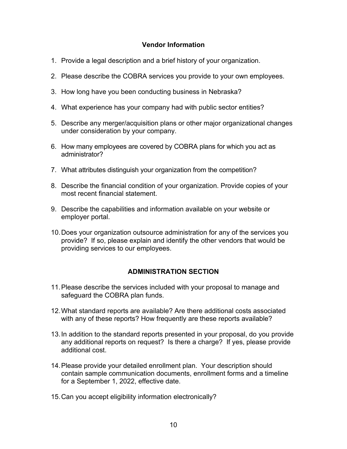#### **Vendor Information**

- 1. Provide a legal description and a brief history of your organization.
- 2. Please describe the COBRA services you provide to your own employees.
- 3. How long have you been conducting business in Nebraska?
- 4. What experience has your company had with public sector entities?
- 5. Describe any merger/acquisition plans or other major organizational changes under consideration by your company.
- 6. How many employees are covered by COBRA plans for which you act as administrator?
- 7. What attributes distinguish your organization from the competition?
- 8. Describe the financial condition of your organization. Provide copies of your most recent financial statement.
- 9. Describe the capabilities and information available on your website or employer portal.
- 10.Does your organization outsource administration for any of the services you provide? If so, please explain and identify the other vendors that would be providing services to our employees.

#### **ADMINISTRATION SECTION**

- 11.Please describe the services included with your proposal to manage and safeguard the COBRA plan funds.
- 12.What standard reports are available? Are there additional costs associated with any of these reports? How frequently are these reports available?
- 13.In addition to the standard reports presented in your proposal, do you provide any additional reports on request? Is there a charge? If yes, please provide additional cost.
- 14.Please provide your detailed enrollment plan. Your description should contain sample communication documents, enrollment forms and a timeline for a September 1, 2022, effective date.
- 15.Can you accept eligibility information electronically?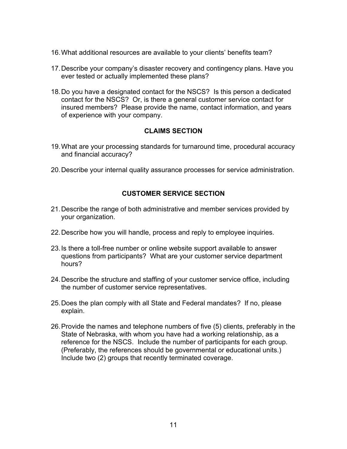- 16.What additional resources are available to your clients' benefits team?
- 17.Describe your company's disaster recovery and contingency plans. Have you ever tested or actually implemented these plans?
- 18.Do you have a designated contact for the NSCS? Is this person a dedicated contact for the NSCS? Or, is there a general customer service contact for insured members? Please provide the name, contact information, and years of experience with your company.

#### **CLAIMS SECTION**

- 19.What are your processing standards for turnaround time, procedural accuracy and financial accuracy?
- 20.Describe your internal quality assurance processes for service administration.

#### **CUSTOMER SERVICE SECTION**

- 21.Describe the range of both administrative and member services provided by your organization.
- 22.Describe how you will handle, process and reply to employee inquiries.
- 23.Is there a toll-free number or online website support available to answer questions from participants? What are your customer service department hours?
- 24.Describe the structure and staffing of your customer service office, including the number of customer service representatives.
- 25.Does the plan comply with all State and Federal mandates? If no, please explain.
- 26.Provide the names and telephone numbers of five (5) clients, preferably in the State of Nebraska, with whom you have had a working relationship, as a reference for the NSCS. Include the number of participants for each group. (Preferably, the references should be governmental or educational units.) Include two (2) groups that recently terminated coverage.